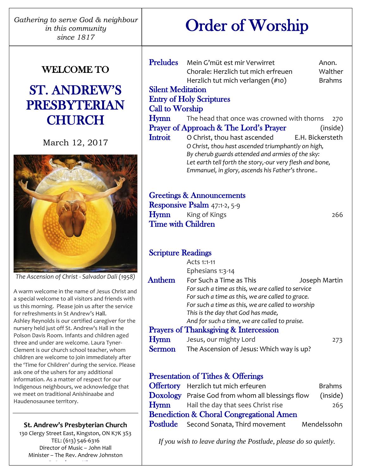*Gathering to serve God & neighbour in this community since 1817*

# Order of Worship

## WELCOME TO

## ST. ANDREW'S PRESBYTERIAN **CHURCH**

March 12, 2017



*The Ascension of Christ - Salvador Dali (1958)*

A warm welcome in the name of Jesus Christ and a special welcome to all visitors and friends with us this morning. Please join us after the service for refreshments in St Andrew's Hall. Ashley Reynolds is our certified caregiver for the nursery held just off St. Andrew's Hall in the Polson Davis Room. Infants and children aged three and under are welcome. Laura Tyner-Clement is our church school teacher, whom children are welcome to join immediately after the 'Time for Children' during the service. Please ask one of the ushers for any additional information. As a matter of respect for our Indigenous neighbours, we acknowledge that we meet on traditional Anishinaabe and Haudenosaunee territory.

#### **St. Andrew's Presbyterian Church**

130 Clergy Street East, Kingston, ON K7K 3S3 TEL: (613) 546-6316 Director of Music – John Hall Minister – The Rev. Andrew Johnston **www.StAndrewsKingston.org**

| <b>Preludes</b><br>Mein G'müt est mir Verwirret                                                                                  | Anon.                                                                                                                                                                                                                                                                                                                |
|----------------------------------------------------------------------------------------------------------------------------------|----------------------------------------------------------------------------------------------------------------------------------------------------------------------------------------------------------------------------------------------------------------------------------------------------------------------|
| Chorale: Herzlich tut mich erfreuen                                                                                              | Walther                                                                                                                                                                                                                                                                                                              |
| Herzlich tut mich verlangen (#10)                                                                                                | <b>Brahms</b>                                                                                                                                                                                                                                                                                                        |
| <b>Silent Meditation</b>                                                                                                         |                                                                                                                                                                                                                                                                                                                      |
| <b>Entry of Holy Scriptures</b>                                                                                                  |                                                                                                                                                                                                                                                                                                                      |
| <b>Call to Worship</b>                                                                                                           |                                                                                                                                                                                                                                                                                                                      |
|                                                                                                                                  | 270                                                                                                                                                                                                                                                                                                                  |
| <b>Prayer of Approach &amp; The Lord's Prayer</b>                                                                                | (inside)                                                                                                                                                                                                                                                                                                             |
|                                                                                                                                  |                                                                                                                                                                                                                                                                                                                      |
|                                                                                                                                  |                                                                                                                                                                                                                                                                                                                      |
| <b>Greetings &amp; Announcements</b><br><b>Responsive Psalm</b> $47:1-2, 5-9$<br><b>Hymn</b> King of Kings<br>Time with Children | 266                                                                                                                                                                                                                                                                                                                  |
|                                                                                                                                  | The head that once was crowned with thorns<br>O Christ, thou hast ascended E.H. Bickersteth<br>O Christ, thou hast ascended triumphantly on high,<br>By cherub guards attended and armies of the sky:<br>Let earth tell forth the story,-our very flesh and bone,<br>Emmanuel, in glory, ascends his Father's throne |

## Scripture Readings

| Acts 1:1-11                                       |                                               |  |
|---------------------------------------------------|-----------------------------------------------|--|
| Ephesians 1:3-14                                  |                                               |  |
| For Such a Time as This                           | Joseph Martin                                 |  |
| For such a time as this, we are called to service |                                               |  |
| For such a time as this, we are called to grace.  |                                               |  |
| For such a time as this, we are called to worship |                                               |  |
| This is the day that God has made,                |                                               |  |
|                                                   |                                               |  |
| <b>Prayers of Thanksgiving &amp; Intercession</b> |                                               |  |
| Jesus, our mighty Lord                            | 273                                           |  |
| The Ascension of Jesus: Which way is up?          |                                               |  |
|                                                   | And for such a time, we are called to praise. |  |

## Presentation of Tithes & Offerings

|                                                     | <b>Offertory</b> Herzlich tut mich erfeuren      | <b>Brahms</b> |  |  |
|-----------------------------------------------------|--------------------------------------------------|---------------|--|--|
|                                                     | Doxology Praise God from whom all blessings flow | (inside)      |  |  |
|                                                     | <b>Hymn</b> Hail the day that sees Christ rise   | 265           |  |  |
| <b>Benediction &amp; Choral Congregational Amen</b> |                                                  |               |  |  |
|                                                     | <b>Postlude</b> Second Sonata, Third movement    | Mendelssohn   |  |  |

*If you wish to leave during the Postlude, please do so quietly.*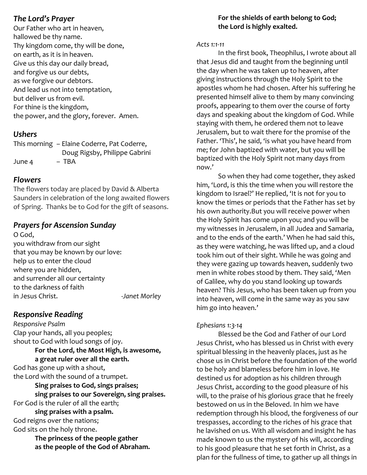## *The Lord's Prayer*

Our Father who art in heaven, hallowed be thy name. Thy kingdom come, thy will be done, on earth, as it is in heaven. Give us this day our daily bread, and forgive us our debts, as we forgive our debtors. And lead us not into temptation, but deliver us from evil. For thine is the kingdom, the power, and the glory, forever. Amen.

## *Ushers*

This morning – Elaine Coderre, Pat Coderre, Doug Rigsby, Philippe Gabrini June 4 – TBA

#### *Flowers*

The flowers today are placed by David & Alberta Saunders in celebration of the long awaited flowers of Spring. Thanks be to God for the gift of seasons.

## *Prayers for Ascension Sunday*

O God, you withdraw from our sight that you may be known by our love: help us to enter the cloud where you are hidden, and surrender all our certainty to the darkness of faith in Jesus Christ. -*Janet Morley*

## *Responsive Reading*

*Responsive Psalm* Clap your hands, all you peoples; shout to God with loud songs of joy. **For the Lord, the Most High, is awesome,**

## **a great ruler over all the earth.**

God has gone up with a shout, the Lord with the sound of a trumpet.

**Sing praises to God, sings praises; sing praises to our Sovereign, sing praises.** For God is the ruler of all the earth;

**sing praises with a psalm.** God reigns over the nations; God sits on the holy throne.

> **The princess of the people gather as the people of the God of Abraham.**

## **For the shields of earth belong to God; the Lord is highly exalted.**

#### *Acts 1:1-11*

In the first book, Theophilus, I wrote about all that Jesus did and taught from the beginning until the day when he was taken up to heaven, after giving instructions through the Holy Spirit to the apostles whom he had chosen. After his suffering he presented himself alive to them by many convincing proofs, appearing to them over the course of forty days and speaking about the kingdom of God. While staying with them, he ordered them not to leave Jerusalem, but to wait there for the promise of the Father. 'This', he said, 'is what you have heard from me; for John baptized with water, but you will be baptized with the Holy Spirit not many days from now.'

So when they had come together, they asked him, 'Lord, is this the time when you will restore the kingdom to Israel?' He replied, 'It is not for you to know the times or periods that the Father has set by his own authority.But you will receive power when the Holy Spirit has come upon you; and you will be my witnesses in Jerusalem, in all Judea and Samaria, and to the ends of the earth.' When he had said this, as they were watching, he was lifted up, and a cloud took him out of their sight. While he was going and they were gazing up towards heaven, suddenly two men in white robes stood by them. They said, 'Men of Galilee, why do you stand looking up towards heaven? This Jesus, who has been taken up from you into heaven, will come in the same way as you saw him go into heaven.'

## *Ephesians 1:3-14*

Blessed be the God and Father of our Lord Jesus Christ, who has blessed us in Christ with every spiritual blessing in the heavenly places, just as he chose us in Christ before the foundation of the world to be holy and blameless before him in love. He destined us for adoption as his children through Jesus Christ, according to the good pleasure of his will, to the praise of his glorious grace that he freely bestowed on us in the Beloved. In him we have redemption through his blood, the forgiveness of our trespasses, according to the riches of his grace that he lavished on us. With all wisdom and insight he has made known to us the mystery of his will, according to his good pleasure that he set forth in Christ, as a plan for the fullness of time, to gather up all things in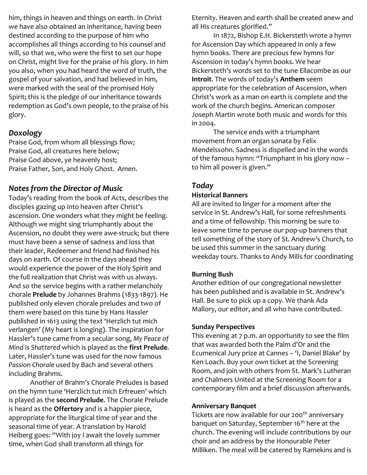him, things in heaven and things on earth. In Christ we have also obtained an inheritance, having been destined according to the purpose of him who accomplishes all things according to his counsel and will, so that we, who were the first to set our hope on Christ, might live for the praise of his glory. In him you also, when you had heard the word of truth, the gospel of your salvation, and had believed in him, were marked with the seal of the promised Holy Spirit; this is the pledge of our inheritance towards redemption as God's own people, to the praise of his glory.

#### *Doxology*

Praise God, from whom all blessings flow; Praise God, all creatures here below; Praise God above, ye heavenly host; Praise Father, Son, and Holy Ghost. Amen.

## *Notes from the Director of Music*

Today's reading from the book of Acts, describes the disciples gazing up into heaven after Christ's ascension. One wonders what they might be feeling. Although we might sing triumphantly about the Ascension, no doubt they were awe-struck; but there must have been a sense of sadness and loss that their leader, Redeemer and friend had finished his days on earth. Of course in the days ahead they would experience the power of the Holy Spirit and the full realization that Christ was with us always. And so the service begins with a rather melancholy chorale **Prelude** by Johannes Brahms (1833-1897). He published only eleven chorale preludes and two of them were based on this tune by Hans Hassler published in 1613 using the text 'Herzlich tut mich verlangen' (My heart is longing). The inspiration for Hassler's tune came from a secular song, *My Peace of Mind is Shattered* which is played as the **first Prelude**. Later, Hassler's tune was used for the now famous *Passion Chorale* used by Bach and several others including Brahms.

Another of Brahm's Chorale Preludes is based on the hymn tune 'Herzlich tut mich Erfreuen' which is played as the **second Prelude**. The Chorale Prelude is heard as the **Offertory** and is a happier piece, appropriate for the liturgical time of year and the seasonal time of year. A translation by Harold Heiberg goes: "With joy I await the lovely summer time, when God shall transform all things for

Eternity. Heaven and earth shall be created anew and all His creatures glorified."

In 1872, Bishop E.H. Bickersteth wrote a hymn for Ascension Day which appeared in only a few hymn books. There are precious few hymns for Ascension in today's hymn books. We hear Bickersteth's words set to the tune Ellacombe as our **Introit**. The words of today's **Anthem** seem appropriate for the celebration of Ascension, when Christ's work as a man on earth is complete and the work of the church begins. American composer Joseph Martin wrote both music and words for this in 2004.

The service ends with a triumphant movement from an organ sonata by Felix Mendelssohn. Sadness is dispelled and in the words of the famous hymn: "Triumphant in his glory now – to him all power is given."

## *Today*

#### **Historical Banners**

All are invited to linger for a moment after the service in St. Andrew's Hall, for some refreshments and a time of fellowship. This morning be sure to leave some time to peruse our pop-up banners that tell something of the story of St. Andrew's Church, to be used this summer in the sanctuary during weekday tours. Thanks to Andy Mills for coordinating

#### **Burning Bush**

Another edition of our congregational newsletter has been published and is available in St. Andrew's Hall. Be sure to pick up a copy. We thank Ada Mallory, our editor, and all who have contributed.

#### **Sunday Perspectives**

This evening at 7 p.m. an opportunity to see the film that was awarded both the Palm d'Or and the Ecumenical Jury prize at Cannes – 'I, Daniel Blake' by Ken Loach. Buy your own ticket at the Screening Room, and join with others from St. Mark's Lutheran and Chalmers United at the Screening Room for a contemporary film and a brief discussion afterwards.

#### **Anniversary Banquet**

Tickets are now available for our 200<sup>th</sup> anniversary banquet on Saturday, September 16<sup>th</sup> here at the church. The evening will include contributions by our choir and an address by the Honourable Peter Milliken. The meal will be catered by Ramekins and is